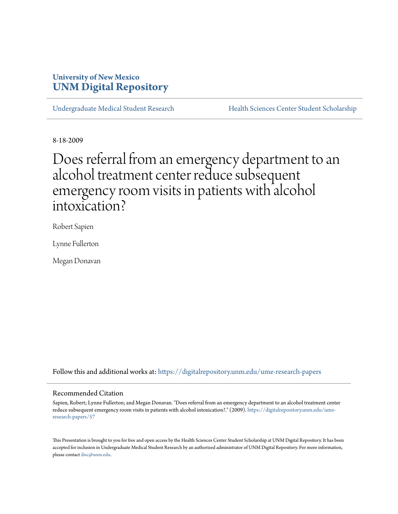# **University of New Mexico [UNM Digital Repository](https://digitalrepository.unm.edu?utm_source=digitalrepository.unm.edu%2Fume-research-papers%2F57&utm_medium=PDF&utm_campaign=PDFCoverPages)**

[Undergraduate Medical Student Research](https://digitalrepository.unm.edu/ume-research-papers?utm_source=digitalrepository.unm.edu%2Fume-research-papers%2F57&utm_medium=PDF&utm_campaign=PDFCoverPages) [Health Sciences Center Student Scholarship](https://digitalrepository.unm.edu/hsc-students?utm_source=digitalrepository.unm.edu%2Fume-research-papers%2F57&utm_medium=PDF&utm_campaign=PDFCoverPages)

8-18-2009

Does referral from an emergency department to an alcohol treatment center reduce subsequent emergency room visits in patients with alcohol intoxication?

Robert Sapien

Lynne Fullerton

Megan Donavan

Follow this and additional works at: [https://digitalrepository.unm.edu/ume-research-papers](https://digitalrepository.unm.edu/ume-research-papers?utm_source=digitalrepository.unm.edu%2Fume-research-papers%2F57&utm_medium=PDF&utm_campaign=PDFCoverPages)

#### Recommended Citation

Sapien, Robert; Lynne Fullerton; and Megan Donavan. "Does referral from an emergency department to an alcohol treatment center reduce subsequent emergency room visits in patients with alcohol intoxication?." (2009). [https://digitalrepository.unm.edu/ume](https://digitalrepository.unm.edu/ume-research-papers/57?utm_source=digitalrepository.unm.edu%2Fume-research-papers%2F57&utm_medium=PDF&utm_campaign=PDFCoverPages)[research-papers/57](https://digitalrepository.unm.edu/ume-research-papers/57?utm_source=digitalrepository.unm.edu%2Fume-research-papers%2F57&utm_medium=PDF&utm_campaign=PDFCoverPages)

This Presentation is brought to you for free and open access by the Health Sciences Center Student Scholarship at UNM Digital Repository. It has been accepted for inclusion in Undergraduate Medical Student Research by an authorized administrator of UNM Digital Repository. For more information, please contact [disc@unm.edu.](mailto:disc@unm.edu)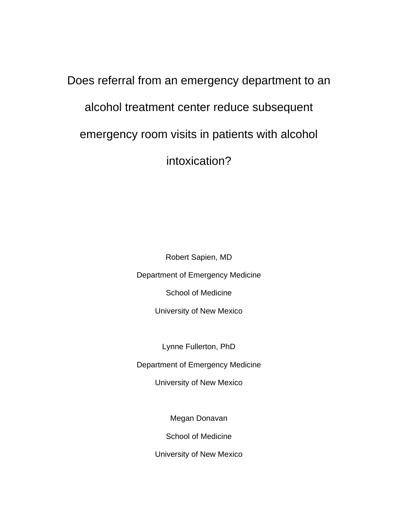# Does referral from an emergency department to an alcohol treatment center reduce subsequent emergency room visits in patients with alcohol intoxication?

Robert Sapien, MD Department of Emergency Medicine School of Medicine

University of New Mexico

Lynne Fullerton, PhD

Department of Emergency Medicine

University of New Mexico

Megan Donavan

School of Medicine

University of New Mexico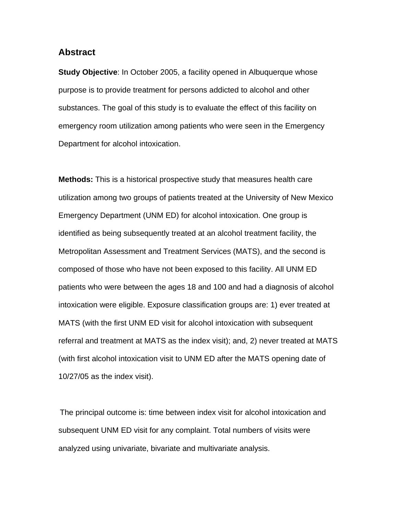### **Abstract**

**Study Objective:** In October 2005, a facility opened in Albuquerque whose purpose is to provide treatment for persons addicted to alcohol and other substances. The goal of this study is to evaluate the effect of this facility on emergency room utilization among patients who were seen in the Emergency Department for alcohol intoxication.

**Methods:** This is a historical prospective study that measures health care utilization among two groups of patients treated at the University of New Mexico Emergency Department (UNM ED) for alcohol intoxication. One group is identified as being subsequently treated at an alcohol treatment facility, the Metropolitan Assessment and Treatment Services (MATS), and the second is composed of those who have not been exposed to this facility. All UNM ED patients who were between the ages 18 and 100 and had a diagnosis of alcohol intoxication were eligible. Exposure classification groups are: 1) ever treated at MATS (with the first UNM ED visit for alcohol intoxication with subsequent referral and treatment at MATS as the index visit); and, 2) never treated at MATS (with first alcohol intoxication visit to UNM ED after the MATS opening date of 10/27/05 as the index visit).

The principal outcome is: time between index visit for alcohol intoxication and subsequent UNM ED visit for any complaint. Total numbers of visits were analyzed using univariate, bivariate and multivariate analysis.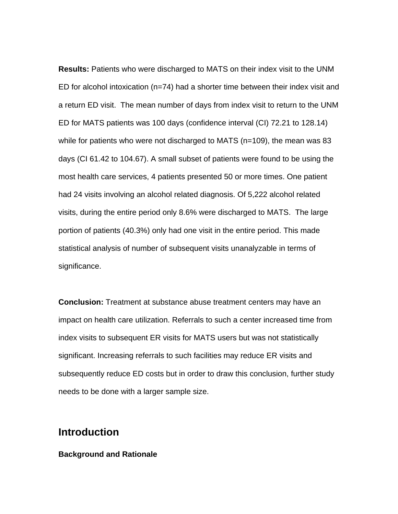**Results:** Patients who were discharged to MATS on their index visit to the UNM ED for alcohol intoxication (n=74) had a shorter time between their index visit and a return ED visit. The mean number of days from index visit to return to the UNM ED for MATS patients was 100 days (confidence interval (CI) 72.21 to 128.14) while for patients who were not discharged to MATS (n=109), the mean was 83 days (CI 61.42 to 104.67). A small subset of patients were found to be using the most health care services, 4 patients presented 50 or more times. One patient had 24 visits involving an alcohol related diagnosis. Of 5,222 alcohol related visits, during the entire period only 8.6% were discharged to MATS. The large portion of patients (40.3%) only had one visit in the entire period. This made statistical analysis of number of subsequent visits unanalyzable in terms of significance.

**Conclusion:** Treatment at substance abuse treatment centers may have an impact on health care utilization. Referrals to such a center increased time from index visits to subsequent ER visits for MATS users but was not statistically significant. Increasing referrals to such facilities may reduce ER visits and subsequently reduce ED costs but in order to draw this conclusion, further study needs to be done with a larger sample size.

# **Introduction**

## **Background and Rationale**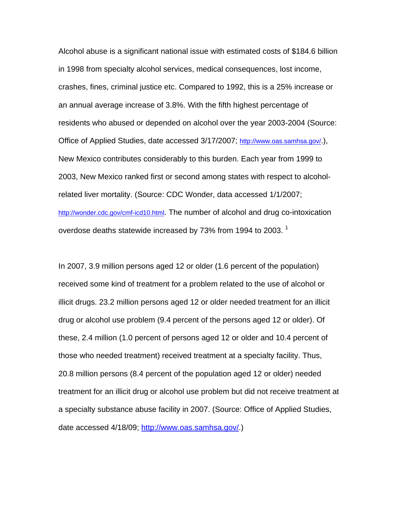Alcohol abuse is a significant national issue with estimated costs of \$184.6 billion in 1998 from specialty alcohol services, medical consequences, lost income, crashes, fines, criminal justice etc. Compared to 1992, this is a 25% increase or an annual average increase of 3.8%. With the fifth highest percentage of residents who abused or depended on alcohol over the year 2003-2004 (Source: Office of Applied Studies, date accessed 3/17/2007; http://www.oas.samhsa.gov/.), New Mexico contributes considerably to this burden. Each year from 1999 to 2003, New Mexico ranked first or second among states with respect to alcoholrelated liver mortality. (Source: CDC Wonder, data accessed 1/1/2007; http://wonder.cdc.gov/cmf-icd10.html. The number of alcohol and drug co-intoxication overdose deaths statewide increased by 73% from 1994 to 2003.  $^{\text{1}}$ 

In 2007, 3.9 million persons aged 12 or older (1.6 percent of the population) received some kind of treatment for a problem related to the use of alcohol or illicit drugs. 23.2 million persons aged 12 or older needed treatment for an illicit drug or alcohol use problem (9.4 percent of the persons aged 12 or older). Of these, 2.4 million (1.0 percent of persons aged 12 or older and 10.4 percent of those who needed treatment) received treatment at a specialty facility. Thus, 20.8 million persons (8.4 percent of the population aged 12 or older) needed treatment for an illicit drug or alcohol use problem but did not receive treatment at a specialty substance abuse facility in 2007. (Source: Office of Applied Studies, date accessed 4/18/09; http://www.oas.samhsa.gov/.)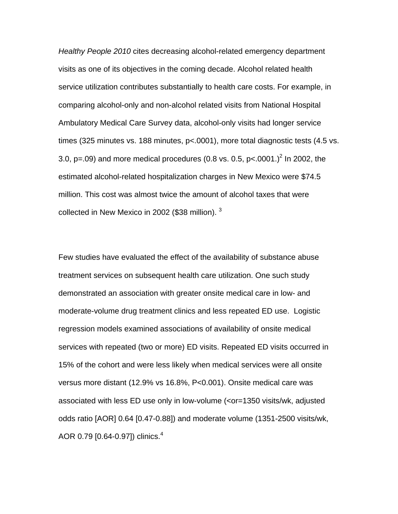*Healthy People 2010* cites decreasing alcohol-related emergency department visits as one of its objectives in the coming decade. Alcohol related health service utilization contributes substantially to health care costs. For example, in comparing alcohol-only and non-alcohol related visits from National Hospital Ambulatory Medical Care Survey data, alcohol-only visits had longer service times (325 minutes vs. 188 minutes, p<.0001), more total diagnostic tests (4.5 vs. 3.0, p=.09) and more medical procedures (0.8 vs. 0.5, p<.0001.)<sup>2</sup> In 2002, the estimated alcohol-related hospitalization charges in New Mexico were \$74.5 million. This cost was almost twice the amount of alcohol taxes that were collected in New Mexico in 2002 (\$38 million).  $3$ 

Few studies have evaluated the effect of the availability of substance abuse treatment services on subsequent health care utilization. One such study demonstrated an association with greater onsite medical care in low- and moderate-volume drug treatment clinics and less repeated ED use. Logistic regression models examined associations of availability of onsite medical services with repeated (two or more) ED visits. Repeated ED visits occurred in 15% of the cohort and were less likely when medical services were all onsite versus more distant (12.9% vs 16.8%, P<0.001). Onsite medical care was associated with less ED use only in low-volume (<or=1350 visits/wk, adjusted odds ratio [AOR] 0.64 [0.47-0.88]) and moderate volume (1351-2500 visits/wk, AOR 0.79 [0.64-0.97]) clinics.<sup>4</sup>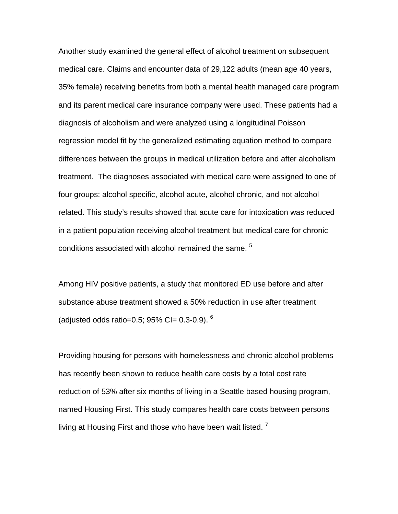Another study examined the general effect of alcohol treatment on subsequent medical care. Claims and encounter data of 29,122 adults (mean age 40 years, 35% female) receiving benefits from both a mental health managed care program and its parent medical care insurance company were used. These patients had a diagnosis of alcoholism and were analyzed using a longitudinal Poisson regression model fit by the generalized estimating equation method to compare differences between the groups in medical utilization before and after alcoholism treatment. The diagnoses associated with medical care were assigned to one of four groups: alcohol specific, alcohol acute, alcohol chronic, and not alcohol related. This study's results showed that acute care for intoxication was reduced in a patient population receiving alcohol treatment but medical care for chronic conditions associated with alcohol remained the same.<sup>5</sup>

Among HIV positive patients, a study that monitored ED use before and after substance abuse treatment showed a 50% reduction in use after treatment (adjusted odds ratio=0.5; 95% CI=  $0.3-0.9$ ).  $6$ 

Providing housing for persons with homelessness and chronic alcohol problems has recently been shown to reduce health care costs by a total cost rate reduction of 53% after six months of living in a Seattle based housing program, named Housing First. This study compares health care costs between persons living at Housing First and those who have been wait listed.<sup>7</sup>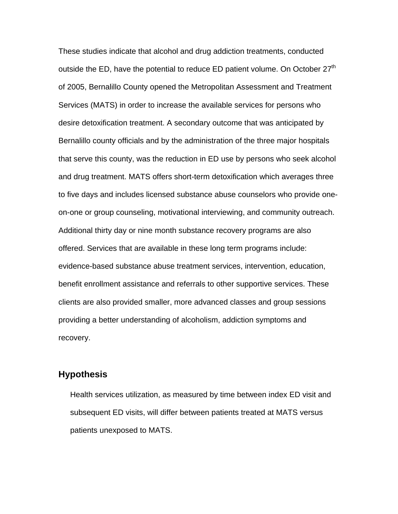These studies indicate that alcohol and drug addiction treatments, conducted outside the ED, have the potential to reduce ED patient volume. On October  $27<sup>th</sup>$ of 2005, Bernalillo County opened the Metropolitan Assessment and Treatment Services (MATS) in order to increase the available services for persons who desire detoxification treatment. A secondary outcome that was anticipated by Bernalillo county officials and by the administration of the three major hospitals that serve this county, was the reduction in ED use by persons who seek alcohol and drug treatment. MATS offers short-term detoxification which averages three to five days and includes licensed substance abuse counselors who provide oneon-one or group counseling, motivational interviewing, and community outreach. Additional thirty day or nine month substance recovery programs are also offered. Services that are available in these long term programs include: evidence-based substance abuse treatment services, intervention, education, benefit enrollment assistance and referrals to other supportive services. These clients are also provided smaller, more advanced classes and group sessions providing a better understanding of alcoholism, addiction symptoms and recovery.

# **Hypothesis**

Health services utilization, as measured by time between index ED visit and subsequent ED visits, will differ between patients treated at MATS versus patients unexposed to MATS.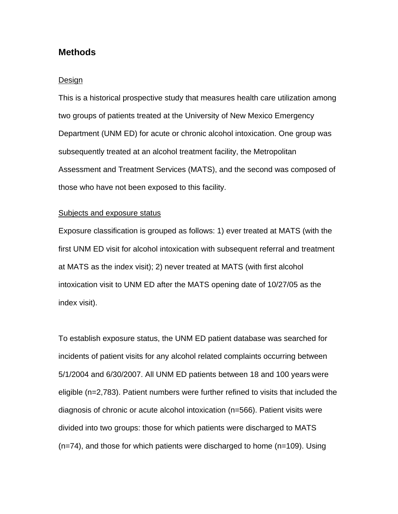# **Methods**

#### Design

This is a historical prospective study that measures health care utilization among two groups of patients treated at the University of New Mexico Emergency Department (UNM ED) for acute or chronic alcohol intoxication. One group was subsequently treated at an alcohol treatment facility, the Metropolitan Assessment and Treatment Services (MATS), and the second was composed of those who have not been exposed to this facility.

#### Subjects and exposure status

Exposure classification is grouped as follows: 1) ever treated at MATS (with the first UNM ED visit for alcohol intoxication with subsequent referral and treatment at MATS as the index visit); 2) never treated at MATS (with first alcohol intoxication visit to UNM ED after the MATS opening date of 10/27/05 as the index visit).

To establish exposure status, the UNM ED patient database was searched for incidents of patient visits for any alcohol related complaints occurring between 5/1/2004 and 6/30/2007. All UNM ED patients between 18 and 100 years were eligible (n=2,783). Patient numbers were further refined to visits that included the diagnosis of chronic or acute alcohol intoxication (n=566). Patient visits were divided into two groups: those for which patients were discharged to MATS (n=74), and those for which patients were discharged to home (n=109). Using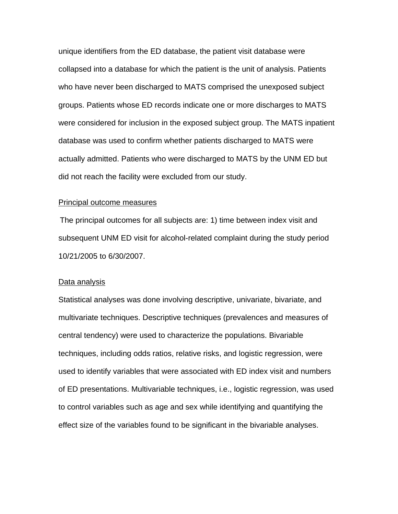unique identifiers from the ED database, the patient visit database were collapsed into a database for which the patient is the unit of analysis. Patients who have never been discharged to MATS comprised the unexposed subject groups. Patients whose ED records indicate one or more discharges to MATS were considered for inclusion in the exposed subject group. The MATS inpatient database was used to confirm whether patients discharged to MATS were actually admitted. Patients who were discharged to MATS by the UNM ED but did not reach the facility were excluded from our study.

#### Principal outcome measures

The principal outcomes for all subjects are: 1) time between index visit and subsequent UNM ED visit for alcohol-related complaint during the study period 10/21/2005 to 6/30/2007.

#### Data analysis

Statistical analyses was done involving descriptive, univariate, bivariate, and multivariate techniques. Descriptive techniques (prevalences and measures of central tendency) were used to characterize the populations. Bivariable techniques, including odds ratios, relative risks, and logistic regression, were used to identify variables that were associated with ED index visit and numbers of ED presentations. Multivariable techniques, i.e., logistic regression, was used to control variables such as age and sex while identifying and quantifying the effect size of the variables found to be significant in the bivariable analyses.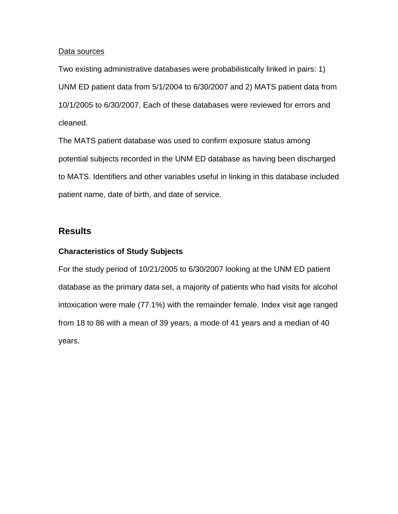## Data sources

Two existing administrative databases were probabilistically linked in pairs: 1) UNM ED patient data from 5/1/2004 to 6/30/2007 and 2) MATS patient data from 10/1/2005 to 6/30/2007. Each of these databases were reviewed for errors and cleaned.

The MATS patient database was used to confirm exposure status among potential subjects recorded in the UNM ED database as having been discharged to MATS. Identifiers and other variables useful in linking in this database included patient name, date of birth, and date of service.

# **Results**

# **Characteristics of Study Subjects**

For the study period of 10/21/2005 to 6/30/2007 looking at the UNM ED patient database as the primary data set, a majority of patients who had visits for alcohol intoxication were male (77.1%) with the remainder female. Index visit age ranged from 18 to 86 with a mean of 39 years, a mode of 41 years and a median of 40 years.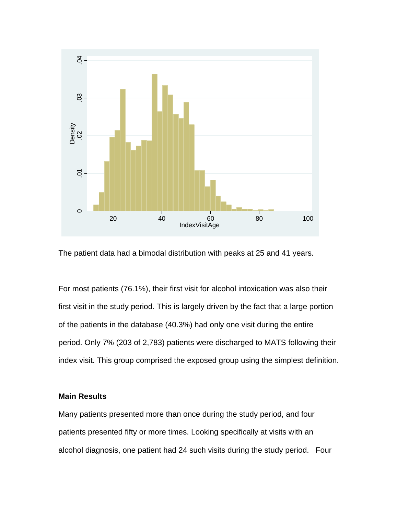



For most patients (76.1%), their first visit for alcohol intoxication was also their first visit in the study period. This is largely driven by the fact that a large portion of the patients in the database (40.3%) had only one visit during the entire period. Only 7% (203 of 2,783) patients were discharged to MATS following their index visit. This group comprised the exposed group using the simplest definition.

# **Main Results**

Many patients presented more than once during the study period, and four patients presented fifty or more times. Looking specifically at visits with an alcohol diagnosis, one patient had 24 such visits during the study period. Four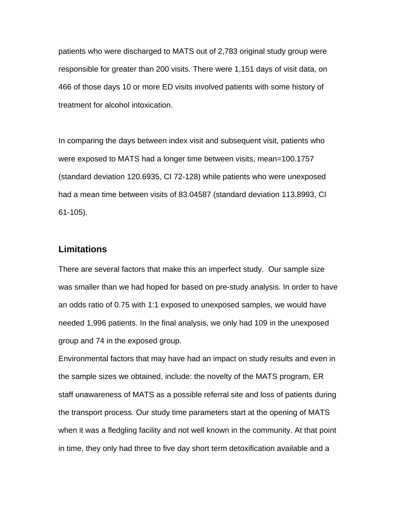patients who were discharged to MATS out of 2,783 original study group were responsible for greater than 200 visits. There were 1,151 days of visit data, on 466 of those days 10 or more ED visits involved patients with some history of treatment for alcohol intoxication.

In comparing the days between index visit and subsequent visit, patients who were exposed to MATS had a longer time between visits, mean=100.1757 (standard deviation 120.6935, CI 72-128) while patients who were unexposed had a mean time between visits of 83.04587 (standard deviation 113.8993, CI 61-105).

# **Limitations**

There are several factors that make this an imperfect study. Our sample size was smaller than we had hoped for based on pre-study analysis. In order to have an odds ratio of 0.75 with 1:1 exposed to unexposed samples, we would have needed 1,996 patients. In the final analysis, we only had 109 in the unexposed group and 74 in the exposed group.

Environmental factors that may have had an impact on study results and even in the sample sizes we obtained, include: the novelty of the MATS program, ER staff unawareness of MATS as a possible referral site and loss of patients during the transport process. Our study time parameters start at the opening of MATS when it was a fledgling facility and not well known in the community. At that point in time, they only had three to five day short term detoxification available and a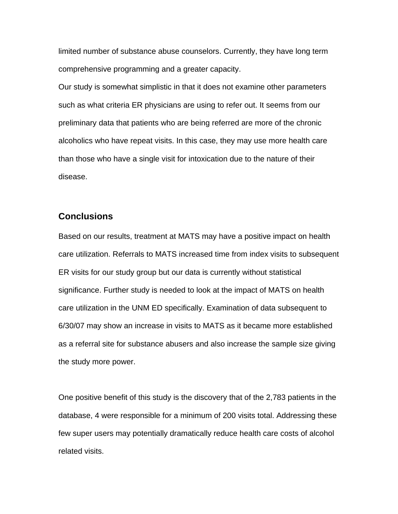limited number of substance abuse counselors. Currently, they have long term comprehensive programming and a greater capacity.

Our study is somewhat simplistic in that it does not examine other parameters such as what criteria ER physicians are using to refer out. It seems from our preliminary data that patients who are being referred are more of the chronic alcoholics who have repeat visits. In this case, they may use more health care than those who have a single visit for intoxication due to the nature of their disease.

# **Conclusions**

Based on our results, treatment at MATS may have a positive impact on health care utilization. Referrals to MATS increased time from index visits to subsequent ER visits for our study group but our data is currently without statistical significance. Further study is needed to look at the impact of MATS on health care utilization in the UNM ED specifically. Examination of data subsequent to 6/30/07 may show an increase in visits to MATS as it became more established as a referral site for substance abusers and also increase the sample size giving the study more power.

One positive benefit of this study is the discovery that of the 2,783 patients in the database, 4 were responsible for a minimum of 200 visits total. Addressing these few super users may potentially dramatically reduce health care costs of alcohol related visits.